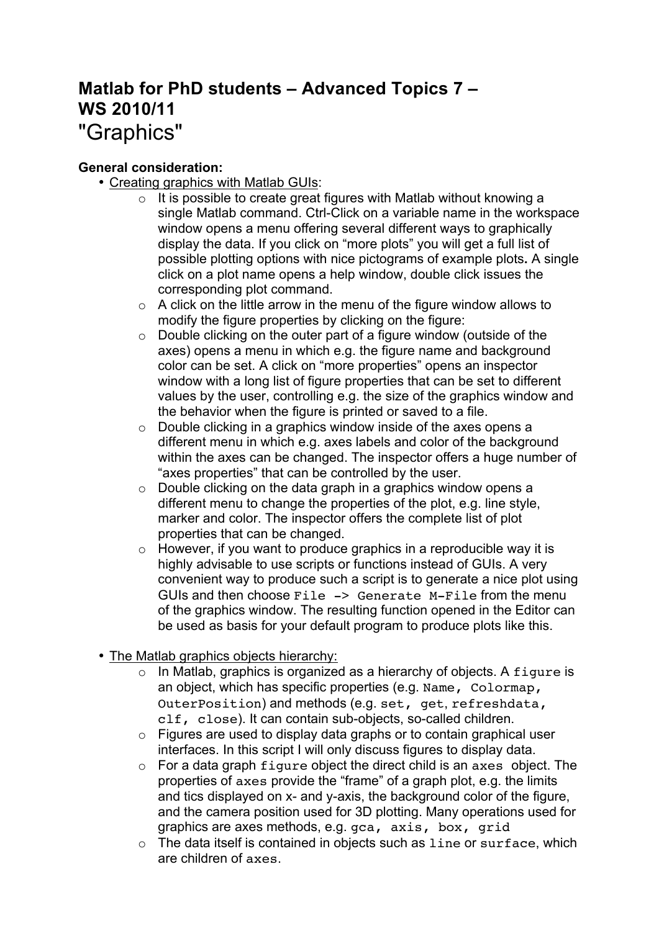# **Matlab for PhD students – Advanced Topics 7 – WS 2010/11** "Graphics"

# **General consideration:**

- Creating graphics with Matlab GUIs:
	- $\circ$  It is possible to create great figures with Matlab without knowing a single Matlab command. Ctrl-Click on a variable name in the workspace window opens a menu offering several different ways to graphically display the data. If you click on "more plots" you will get a full list of possible plotting options with nice pictograms of example plots**.** A single click on a plot name opens a help window, double click issues the corresponding plot command.
	- $\circ$  A click on the little arrow in the menu of the figure window allows to modify the figure properties by clicking on the figure:
	- o Double clicking on the outer part of a figure window (outside of the axes) opens a menu in which e.g. the figure name and background color can be set. A click on "more properties" opens an inspector window with a long list of figure properties that can be set to different values by the user, controlling e.g. the size of the graphics window and the behavior when the figure is printed or saved to a file.
	- o Double clicking in a graphics window inside of the axes opens a different menu in which e.g. axes labels and color of the background within the axes can be changed. The inspector offers a huge number of "axes properties" that can be controlled by the user.
	- $\circ$  Double clicking on the data graph in a graphics window opens a different menu to change the properties of the plot, e.g. line style, marker and color. The inspector offers the complete list of plot properties that can be changed.
	- $\circ$  However, if you want to produce graphics in a reproducible way it is highly advisable to use scripts or functions instead of GUIs. A very convenient way to produce such a script is to generate a nice plot using GUIs and then choose File -> Generate M-File from the menu of the graphics window. The resulting function opened in the Editor can be used as basis for your default program to produce plots like this.
- The Matlab graphics objects hierarchy:
	- o In Matlab, graphics is organized as a hierarchy of objects. A figure is an object, which has specific properties (e.g. Name, Colormap, OuterPosition) and methods (e.g. set, get, refreshdata, clf, close). It can contain sub-objects, so-called children.
	- $\circ$  Figures are used to display data graphs or to contain graphical user interfaces. In this script I will only discuss figures to display data.
	- $\circ$  For a data graph  $f$ iqure object the direct child is an axes object. The properties of axes provide the "frame" of a graph plot, e.g. the limits and tics displayed on x- and y-axis, the background color of the figure, and the camera position used for 3D plotting. Many operations used for graphics are axes methods, e.g. gca, axis, box, grid
	- o The data itself is contained in objects such as line or surface, which are children of axes.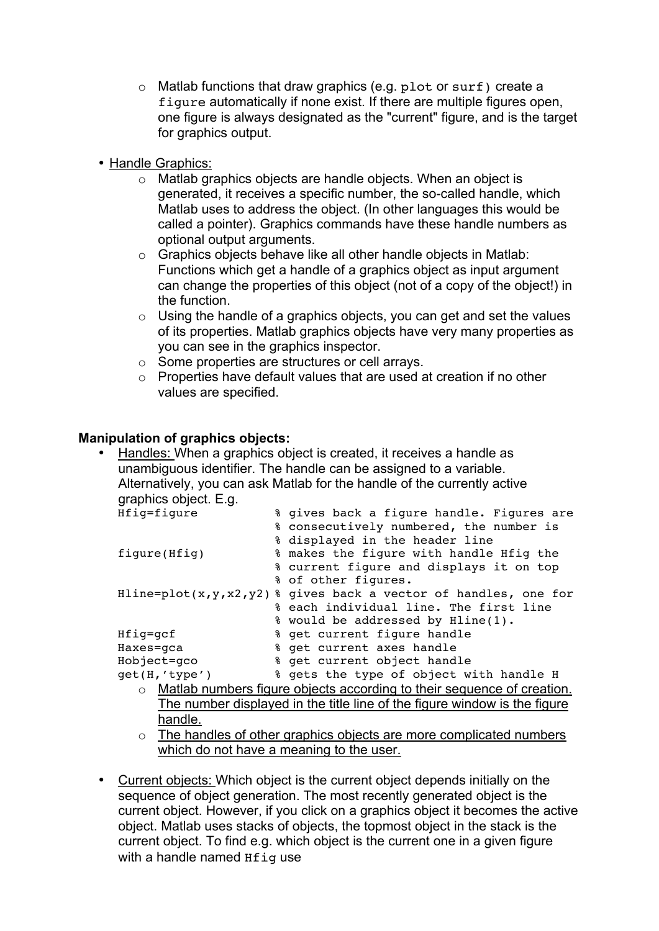- o Matlab functions that draw graphics (e.g. plot or surf) create a figure automatically if none exist. If there are multiple figures open, one figure is always designated as the "current" figure, and is the target for graphics output.
- Handle Graphics:
	- o Matlab graphics objects are handle objects. When an object is generated, it receives a specific number, the so-called handle, which Matlab uses to address the object. (In other languages this would be called a pointer). Graphics commands have these handle numbers as optional output arguments.
	- o Graphics objects behave like all other handle objects in Matlab: Functions which get a handle of a graphics object as input argument can change the properties of this object (not of a copy of the object!) in the function.
	- $\circ$  Using the handle of a graphics objects, you can get and set the values of its properties. Matlab graphics objects have very many properties as you can see in the graphics inspector.
	- o Some properties are structures or cell arrays.
	- o Properties have default values that are used at creation if no other values are specified.

## **Manipulation of graphics objects:**

• Handles: When a graphics object is created, it receives a handle as unambiguous identifier. The handle can be assigned to a variable. Alternatively, you can ask Matlab for the handle of the currently active graphics object. E.g.

| Hfig=figure   | % gives back a figure handle. Figures are                                      |
|---------------|--------------------------------------------------------------------------------|
|               | % consecutively numbered, the number is                                        |
|               | % displayed in the header line                                                 |
| figure(Hfig)  | % makes the figure with handle Hfig the                                        |
|               | % current figure and displays it on top                                        |
|               | % of other figures.                                                            |
|               | Hline=plot( $x, y, x2, y2$ ) % gives back a vector of handles, one for         |
|               | & each individual line. The first line                                         |
|               | % would be addressed by Hline(1).                                              |
| Hfig=gcf      | % get current figure handle                                                    |
| Haxes=gca     | % get current axes handle                                                      |
| Hobject=qco   | % get current object handle                                                    |
| get(H,'type') | % gets the type of object with handle H                                        |
|               | $\circ$ Matlab numbers figure objects according to their sequence of creation. |
|               | The number displayed in the title line of the figure window is the figure      |
| . .           |                                                                                |

- handle.
- o The handles of other graphics objects are more complicated numbers which do not have a meaning to the user.
- Current objects: Which object is the current object depends initially on the sequence of object generation. The most recently generated object is the current object. However, if you click on a graphics object it becomes the active object. Matlab uses stacks of objects, the topmost object in the stack is the current object. To find e.g. which object is the current one in a given figure with a handle named Hfig use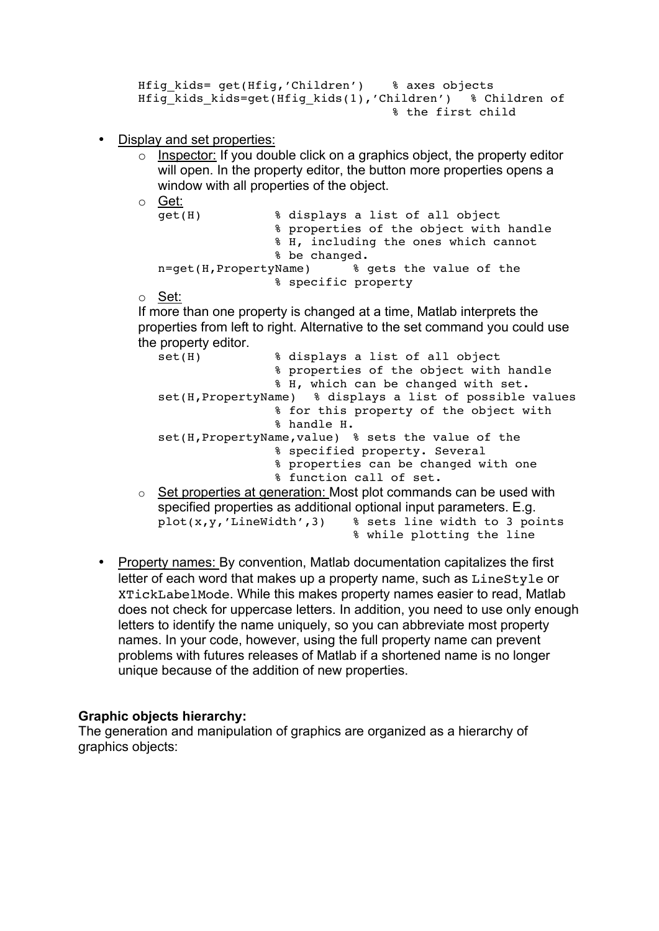```
Hfig kids= get(Hfig,'Children') % axes objects
Hfig kids kids=get(Hfig kids(1),'Children') % Children of
                                 % the first child
```
- Display and set properties:
	- $\circ$  Inspector: If you double click on a graphics object, the property editor will open. In the property editor, the button more properties opens a window with all properties of the object.
	- o Get:

| qet(H)                | % displays a list of all object        |
|-----------------------|----------------------------------------|
|                       | % properties of the object with handle |
|                       | % H, including the ones which cannot   |
|                       | % be changed.                          |
| n=get(H,PropertyName) | % gets the value of the                |
|                       | % specific property                    |

o Set:

If more than one property is changed at a time, Matlab interprets the properties from left to right. Alternative to the set command you could use the property editor.

set(H) % displays a list of all object % properties of the object with handle % H, which can be changed with set. set(H,PropertyName) % displays a list of possible values % for this property of the object with % handle H. set(H,PropertyName,value) % sets the value of the % specified property. Several % properties can be changed with one % function call of set.  $\circ$  Set properties at generation: Most plot commands can be used with specified properties as additional optional input parameters. E.g.  $plot(x,y,'LineWidth',3)$  & sets line width to 3 points

- % while plotting the line
- Property names: By convention, Matlab documentation capitalizes the first letter of each word that makes up a property name, such as LineStyle or XTickLabelMode. While this makes property names easier to read, Matlab does not check for uppercase letters. In addition, you need to use only enough letters to identify the name uniquely, so you can abbreviate most property names. In your code, however, using the full property name can prevent problems with futures releases of Matlab if a shortened name is no longer unique because of the addition of new properties.

### **Graphic objects hierarchy:**

The generation and manipulation of graphics are organized as a hierarchy of graphics objects: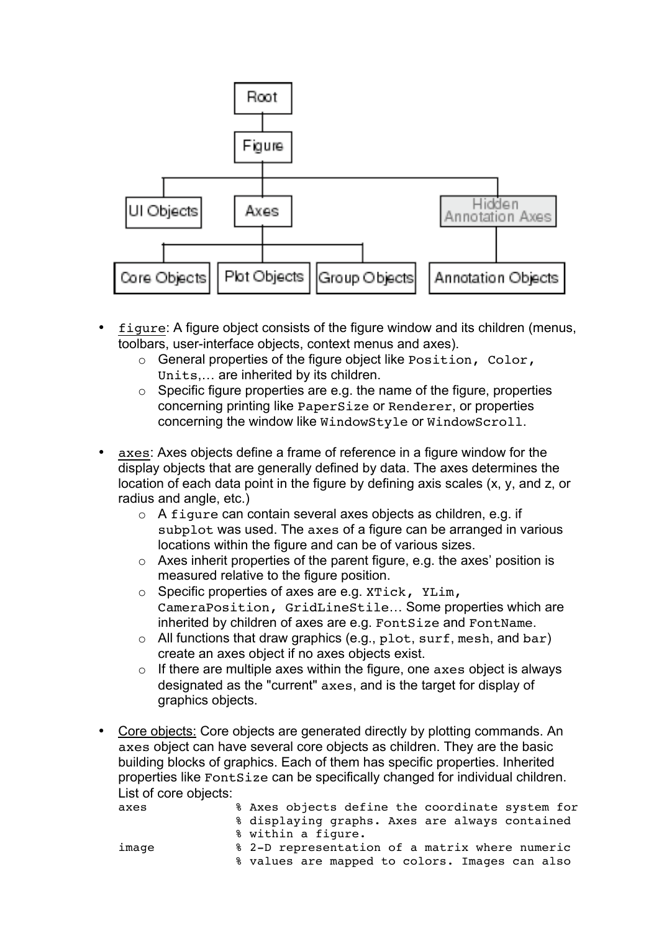

- figure: A figure object consists of the figure window and its children (menus, toolbars, user-interface objects, context menus and axes).
	- o General properties of the figure object like Position, Color, Units,… are inherited by its children.
	- $\circ$  Specific figure properties are e.g. the name of the figure, properties concerning printing like PaperSize or Renderer, or properties concerning the window like WindowStyle or WindowScroll.
- axes: Axes objects define a frame of reference in a figure window for the display objects that are generally defined by data. The axes determines the location of each data point in the figure by defining axis scales (x, y, and z, or radius and angle, etc.)
	- o A figure can contain several axes objects as children, e.g. if subplot was used. The axes of a figure can be arranged in various locations within the figure and can be of various sizes.
	- $\circ$  Axes inherit properties of the parent figure, e.g. the axes' position is measured relative to the figure position.
	- o Specific properties of axes are e.g. XTick, YLim, CameraPosition, GridLineStile… Some properties which are inherited by children of axes are e.g. FontSize and FontName.
	- o All functions that draw graphics (e.g., plot, surf, mesh, and bar) create an axes object if no axes objects exist.
	- $\circ$  If there are multiple axes within the figure, one axes object is always designated as the "current" axes, and is the target for display of graphics objects.
- Core objects: Core objects are generated directly by plotting commands. An axes object can have several core objects as children. They are the basic building blocks of graphics. Each of them has specific properties. Inherited properties like FontSize can be specifically changed for individual children. List of core objects:

| axes  | % Axes objects define the coordinate system for |
|-------|-------------------------------------------------|
|       | % displaying graphs. Axes are always contained  |
|       | % within a fiqure.                              |
| image | % 2-D representation of a matrix where numeric  |
|       | % values are mapped to colors. Images can also  |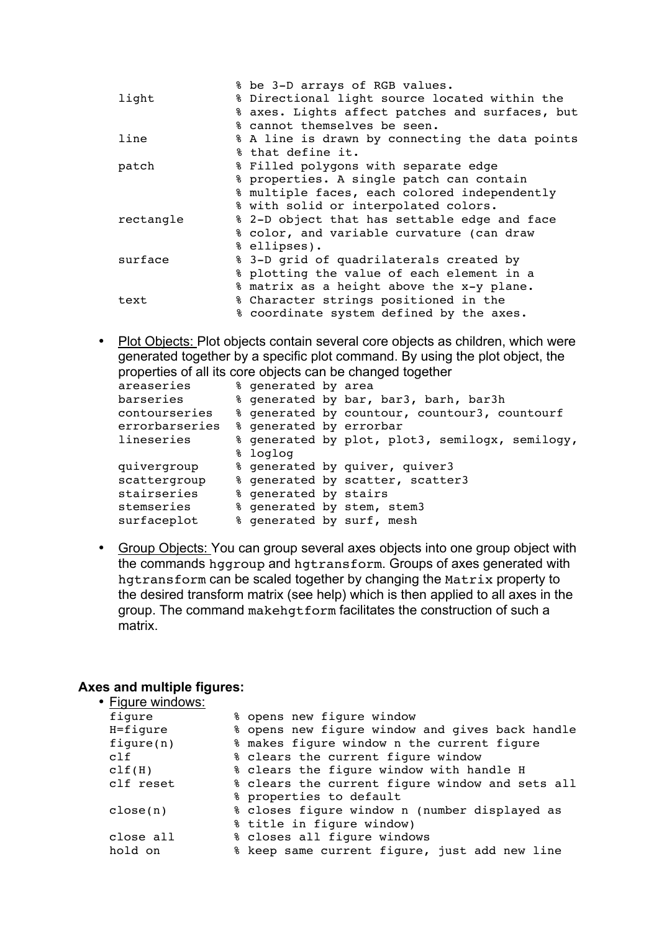|           | % be 3-D arrays of RGB values.                  |
|-----------|-------------------------------------------------|
| light     | % Directional light source located within the   |
|           | % axes. Lights affect patches and surfaces, but |
|           | % cannot themselves be seen.                    |
| line      | % A line is drawn by connecting the data points |
|           | % that define it.                               |
| patch     | % Filled polygons with separate edge            |
|           | % properties. A single patch can contain        |
|           | % multiple faces, each colored independently    |
|           | % with solid or interpolated colors.            |
| rectangle | % 2-D object that has settable edge and face    |
|           | % color, and variable curvature (can draw       |
|           | % ellipses).                                    |
| surface   | % 3-D grid of quadrilaterals created by         |
|           | % plotting the value of each element in a       |
|           | % matrix as a height above the x-y plane.       |
| text      | % Character strings positioned in the           |
|           | % coordinate system defined by the axes.        |

• Plot Objects: Plot objects contain several core objects as children, which were generated together by a specific plot command. By using the plot object, the properties of all its core objects can be changed together

| areaseries     | % generated by area     |                                                 |
|----------------|-------------------------|-------------------------------------------------|
| barseries      |                         | % generated by bar, bar3, barh, bar3h           |
| contourseries  |                         | % generated by countour, countour3, countourf   |
| errorbarseries | % generated by errorbar |                                                 |
| lineseries     |                         | % generated by plot, plot3, semilogx, semilogy, |
|                | % loglog                |                                                 |
| quivergroup    |                         | % generated by quiver, quiver3                  |
| scattergroup   |                         | % generated by scatter, scatter3                |
| stairseries    | % generated by stairs   |                                                 |
| stemseries     |                         | % generated by stem, stem3                      |
| surfaceplot    |                         | % generated by surf, mesh                       |

• Group Objects: You can group several axes objects into one group object with the commands hggroup and hgtransform. Groups of axes generated with hgtransform can be scaled together by changing the Matrix property to the desired transform matrix (see help) which is then applied to all axes in the group. The command makehgtform facilitates the construction of such a matrix.

#### **Axes and multiple figures:**  $\cdot$  Figure

| Figure windows: |                                                 |
|-----------------|-------------------------------------------------|
| figure          | % opens new figure window                       |
| $H = figure$    | % opens new figure window and gives back handle |
| figure(n)       | % makes figure window n the current figure      |
| c1f             | % clears the current figure window              |
| clf(H)          | % clears the figure window with handle H        |
| clf reset       | % clears the current figure window and sets all |
|                 | % properties to default                         |
| close(n)        | % closes figure window n (number displayed as   |
|                 | % title in figure window)                       |
| close all       | % closes all figure windows                     |
| hold on         | % keep same current figure, just add new line   |
|                 |                                                 |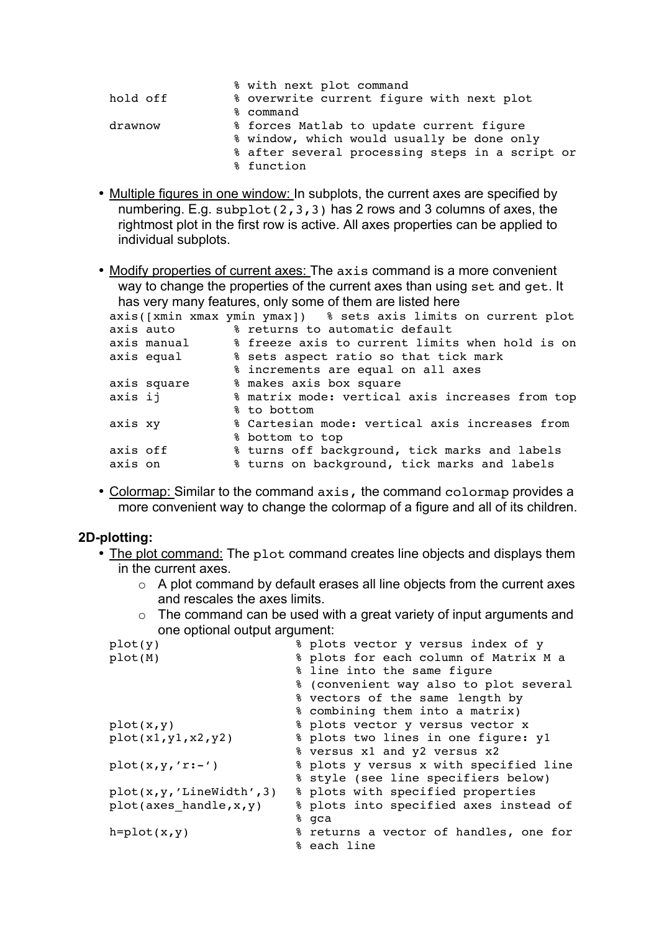|          | % with next plot command                        |
|----------|-------------------------------------------------|
| hold off | % overwrite current figure with next plot       |
|          | % command                                       |
| drawnow  | % forces Matlab to update current figure        |
|          | % window, which would usually be done only      |
|          | % after several processing steps in a script or |
|          | % function                                      |

• Multiple figures in one window: In subplots, the current axes are specified by numbering. E.g. subplot( $2,3,3$ ) has 2 rows and 3 columns of axes, the rightmost plot in the first row is active. All axes properties can be applied to individual subplots.

• Modify properties of current axes: The axis command is a more convenient way to change the properties of the current axes than using set and get. It has very many features, only some of them are listed here

|          |             | $10001$ , $10011$ , $1001001$ , $0011$ , $001110$ , $0110111$ , $01010$ , $01010$ |
|----------|-------------|-----------------------------------------------------------------------------------|
|          |             | axis([xmin xmax ymin ymax]) % sets axis limits on current plot                    |
|          | axis auto   | % returns to automatic default                                                    |
|          | axis manual | % freeze axis to current limits when hold is on                                   |
|          | axis equal  | % sets aspect ratio so that tick mark                                             |
|          |             | % increments are equal on all axes                                                |
|          | axis square | % makes axis box square                                                           |
| axis ij  |             | % matrix mode: vertical axis increases from top                                   |
|          |             | % to bottom                                                                       |
| axis xy  |             | % Cartesian mode: vertical axis increases from                                    |
|          |             | % bottom to top                                                                   |
| axis off |             | % turns off background, tick marks and labels                                     |
| axis on  |             | % turns on background, tick marks and labels                                      |
|          |             |                                                                                   |

• Colormap: Similar to the command axis, the command colormap provides a more convenient way to change the colormap of a figure and all of its children.

### **2D-plotting:**

- The plot command: The plot command creates line objects and displays them in the current axes.
	- o A plot command by default erases all line objects from the current axes and rescales the axes limits.
	- $\circ$  The command can be used with a great variety of input arguments and one optional output argument:

| plot(y)                    | % plots vector y versus index of y     |
|----------------------------|----------------------------------------|
| plot(M)                    | % plots for each column of Matrix M a  |
|                            | % line into the same figure            |
|                            | % (convenient way also to plot several |
|                            | % vectors of the same length by        |
|                            | % combining them into a matrix)        |
| plot(x, y)                 | % plots vector y versus vector x       |
| plot(x1,y1,x2,y2)          | % plots two lines in one figure: y1    |
|                            | % versus x1 and y2 versus x2           |
| $plot(x,y,'r:-')$          | % plots y versus x with specified line |
|                            | % style (see line specifiers below)    |
| plot(x, y, 'LineWidth', 3) | % plots with specified properties      |
| plot(axes handle, x, y)    | % plots into specified axes instead of |
|                            | % qca                                  |
| $h = plot(x, y)$           | % returns a vector of handles, one for |
|                            | % each line                            |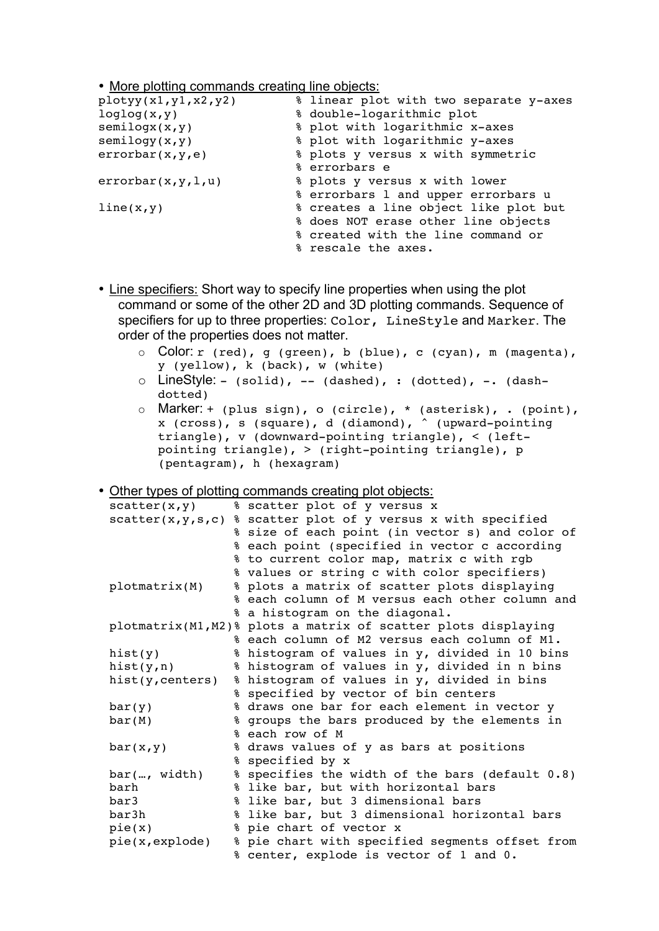• More plotting commands creating line objects:

| plotyy(x1,y1,x2,y2) | % linear plot with two separate y-axes |
|---------------------|----------------------------------------|
| loglog(x, y)        | % double-logarithmic plot              |
| semilogx(x,y)       | % plot with logarithmic x-axes         |
| semilogy(x,y)       | % plot with logarithmic y-axes         |
| errorbar(x,y,e)     | % plots y versus x with symmetric      |
|                     | % errorbars e                          |
| errorbar(x,y,l,u)   | % plots y versus x with lower          |
|                     | % errorbars 1 and upper errorbars u    |
| line(x,y)           | % creates a line object like plot but  |
|                     | % does NOT erase other line objects    |
|                     | % created with the line command or     |
|                     | % rescale the axes.                    |

- Line specifiers: Short way to specify line properties when using the plot command or some of the other 2D and 3D plotting commands. Sequence of specifiers for up to three properties: Color, LineStyle and Marker. The order of the properties does not matter.
	- o Color: r (red), g (green), b (blue), c (cyan), m (magenta), y (yellow), k (back), w (white)
	- $\circ$  LineStyle: (solid), -- (dashed), : (dotted), -. (dashdotted)
	- o Marker: + (plus sign), o (circle), \* (asterisk), . (point), x (cross), s (square), d (diamond), ^ (upward-pointing triangle), v (downward-pointing triangle), < (leftpointing triangle), > (right-pointing triangle), p (pentagram), h (hexagram)

• Other types of plotting commands creating plot objects:

| scatter(x, y)       | % scatter plot of y versus x                                  |
|---------------------|---------------------------------------------------------------|
| scatter(x, y, s, c) | % scatter plot of y versus x with specified                   |
|                     | % size of each point (in vector s) and color of               |
|                     | % each point (specified in vector c according                 |
|                     | % to current color map, matrix c with rgb                     |
|                     | % values or string c with color specifiers)                   |
| plotmatrix(M)       | % plots a matrix of scatter plots displaying                  |
|                     | % each column of M versus each other column and               |
|                     | % a histogram on the diagonal.                                |
|                     | plotmatrix(M1,M2)% plots a matrix of scatter plots displaying |
|                     | % each column of M2 versus each column of M1.                 |
| hist(y)             | % histogram of values in y, divided in 10 bins                |
| hist $(y, n)$       | % histogram of values in y, divided in n bins                 |
| hist(y, centers)    | % histogram of values in y, divided in bins                   |
|                     | % specified by vector of bin centers                          |
| bar(y)              | % draws one bar for each element in vector y                  |
| bar(M)              | % groups the bars produced by the elements in                 |
|                     | % each row of M                                               |
| bar(x,y)            | % draws values of y as bars at positions                      |
|                     | % specified by x                                              |
| bar(, width)        | % specifies the width of the bars (default 0.8)               |
| barh                | % like bar, but with horizontal bars                          |
| bar3                | % like bar, but 3 dimensional bars                            |
| bar3h               | % like bar, but 3 dimensional horizontal bars                 |
| pie(x)              | % pie chart of vector x                                       |
| pie(x,explode)      | % pie chart with specified segments offset from               |
|                     | % center, explode is vector of 1 and 0.                       |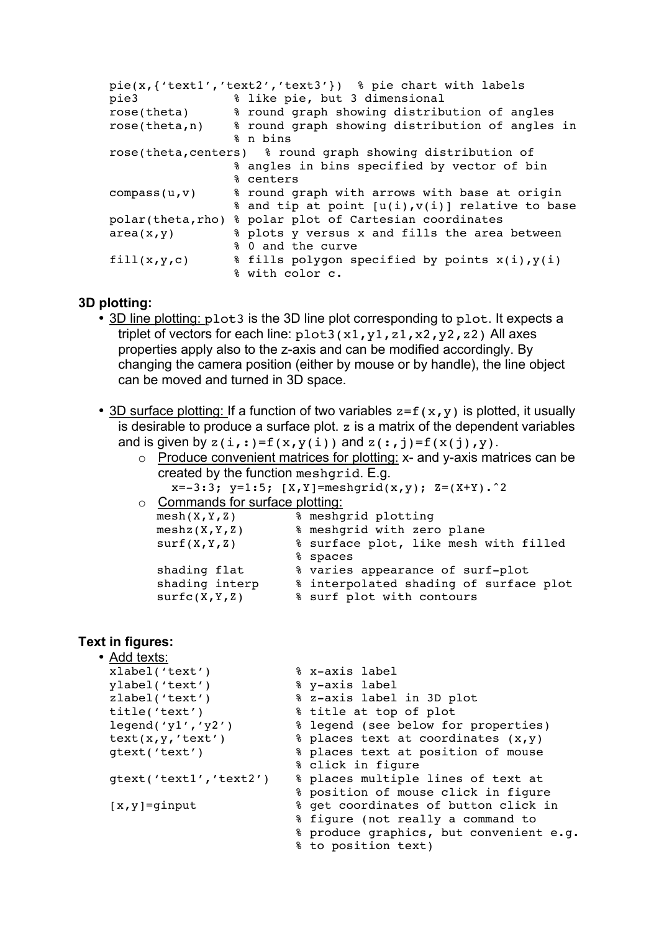```
pie(x,{'text1','text2','text3'}) % pie chart with labels
pie3 % like pie, but 3 dimensional
rose(theta) % round graph showing distribution of angles
rose(theta,n) % round graph showing distribution of angles in
                % n bins
rose(theta,centers) % round graph showing distribution of 
                % angles in bins specified by vector of bin 
                % centers
compass(u,v) % round graph with arrows with base at origin
                % and tip at point [u(i),v(i)] relative to base
polar(theta,rho) % polar plot of Cartesian coordinates
area(x, y) \qquad \qquad % plots y versus x and fills the area between
               % 0 and the curve
fill(x,y,c) \ast fills polygon specified by points x(i), y(i)% with color c.
```
#### **3D plotting:**

- 3D line plotting: plot3 is the 3D line plot corresponding to plot. It expects a triplet of vectors for each line:  $plot3(x1, y1, z1, x2, y2, z2)$  All axes properties apply also to the z-axis and can be modified accordingly. By changing the camera position (either by mouse or by handle), the line object can be moved and turned in 3D space.
- 3D surface plotting: If a function of two variables  $z = f(x,y)$  is plotted, it usually is desirable to produce a surface plot. z is a matrix of the dependent variables and is given by  $z(i,:)=f(x,v(i))$  and  $z(:,i)=f(x(i),v)$ .

| $\circ$ Produce convenient matrices for plotting: x- and y-axis matrices can be |
|---------------------------------------------------------------------------------|
| created by the function mesharid. E.g.                                          |
| $x=-3:3$ ; $y=1:5$ ; $[X,Y]=meshgrid(x,y)$ ; $Z=(X+Y).^2$                       |
|                                                                                 |

| $\circ$ Commands for surface plotting: |                                        |
|----------------------------------------|----------------------------------------|
| mesh(X, Y, Z)                          | % meshgrid plotting                    |
| meshz(X,Y,Z)                           | % meshgrid with zero plane             |
| surf(X, Y, Z)                          | % surface plot, like mesh with filled  |
|                                        | % spaces                               |
| shading flat                           | % varies appearance of surf-plot       |
| shading interp                         | % interpolated shading of surface plot |
| surtc(X, Y, Z)                         | % surf plot with contours              |

### **Text in figures:**

| • Add texts:           |                                         |
|------------------------|-----------------------------------------|
| xlabel('text')         | % x-axis label                          |
| ylabel('text')         | % y-axis label                          |
| zlabel('text')         | % z-axis label in 3D plot               |
| title('text')          | % title at top of plot                  |
| leqend('y1', 'y2')     | % legend (see below for properties)     |
| text(x,y,'text')       | % places text at coordinates (x, y)     |
| qtext('text')          | % places text at position of mouse      |
|                        | % click in figure                       |
| qtext('text1','text2') | % places multiple lines of text at      |
|                        | % position of mouse click in figure     |
| $[x, y] =$ ginput      | % get coordinates of button click in    |
|                        | % fiqure (not really a command to       |
|                        | % produce graphics, but convenient e.g. |
|                        | % to position text)                     |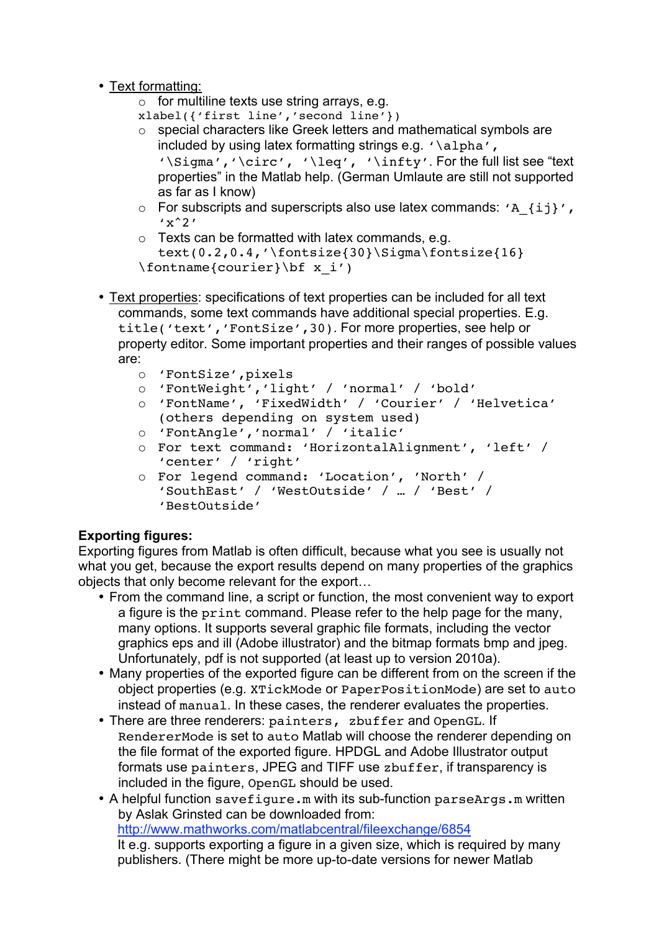- Text formatting:
	- $\circ$  for multiline texts use string arrays, e.g.
	- xlabel({'first line','second line'})
	- o special characters like Greek letters and mathematical symbols are included by using latex formatting strings e.g. '\alpha', '\Sigma','\circ', '\leq', '\infty'. For the full list see "text properties" in the Matlab help. (German Umlaute are still not supported as far as I know)
	- $\circ$  For subscripts and superscripts also use latex commands: 'A {ij}',  $'x^2'$
	- o Texts can be formatted with latex commands, e.g.
	- text(0.2,0.4,'\fontsize{30}\Sigma\fontsize{16} \fontname{courier}\bf x\_i')
- Text properties: specifications of text properties can be included for all text commands, some text commands have additional special properties. E.g. title('text','FontSize',30). For more properties, see help or property editor. Some important properties and their ranges of possible values are:
	- o 'FontSize',pixels
	- o 'FontWeight','light' / 'normal' / 'bold'
	- o 'FontName', 'FixedWidth' / 'Courier' / 'Helvetica' (others depending on system used)
	- o 'FontAngle','normal' / 'italic'
	- o For text command: 'HorizontalAlignment', 'left' / 'center' / 'right'
	- o For legend command: 'Location', 'North' / 'SouthEast' / 'WestOutside' / … / 'Best' / 'BestOutside'

# **Exporting figures:**

Exporting figures from Matlab is often difficult, because what you see is usually not what you get, because the export results depend on many properties of the graphics objects that only become relevant for the export…

- From the command line, a script or function, the most convenient way to export a figure is the print command. Please refer to the help page for the many, many options. It supports several graphic file formats, including the vector graphics eps and ill (Adobe illustrator) and the bitmap formats bmp and jpeg. Unfortunately, pdf is not supported (at least up to version 2010a).
- Many properties of the exported figure can be different from on the screen if the object properties (e.g. XTickMode or PaperPositionMode) are set to auto instead of manual. In these cases, the renderer evaluates the properties.
- There are three renderers: painters, zbuffer and OpenGL. If RendererMode is set to auto Matlab will choose the renderer depending on the file format of the exported figure. HPDGL and Adobe Illustrator output formats use painters, JPEG and TIFF use zbuffer, if transparency is included in the figure, OpenGL should be used.
- A helpful function savefigure.m with its sub-function parseArgs.m written by Aslak Grinsted can be downloaded from: http://www.mathworks.com/matlabcentral/fileexchange/6854 It e.g. supports exporting a figure in a given size, which is required by many publishers. (There might be more up-to-date versions for newer Matlab